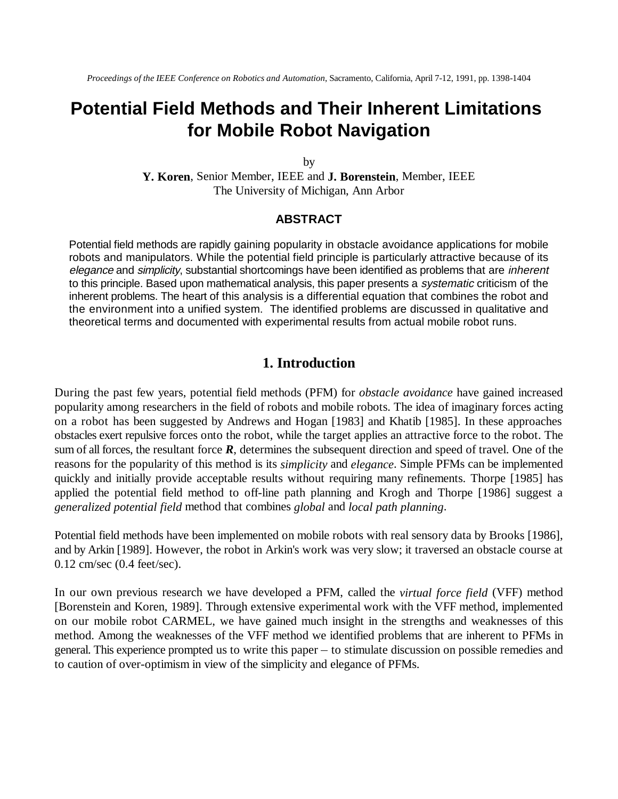# **Potential Field Methods and Their Inherent Limitations for Mobile Robot Navigation**

by

**Y. Koren**, Senior Member, IEEE and **J. Borenstein**, Member, IEEE The University of Michigan, Ann Arbor

#### **ABSTRACT**

Potential field methods are rapidly gaining popularity in obstacle avoidance applications for mobile robots and manipulators. While the potential field principle is particularly attractive because of its elegance and simplicity, substantial shortcomings have been identified as problems that are inherent to this principle. Based upon mathematical analysis, this paper presents a systematic criticism of the inherent problems. The heart of this analysis is a differential equation that combines the robot and the environment into a unified system. The identified problems are discussed in qualitative and theoretical terms and documented with experimental results from actual mobile robot runs.

# **1. Introduction**

During the past few years, potential field methods (PFM) for *obstacle avoidance* have gained increased popularity among researchers in the field of robots and mobile robots. The idea of imaginary forces acting on a robot has been suggested by Andrews and Hogan [1983] and Khatib [1985]. In these approaches obstacles exert repulsive forces onto the robot, while the target applies an attractive force to the robot. The sum of all forces, the resultant force *R*, determines the subsequent direction and speed of travel. One of the reasons for the popularity of this method is its *simplicity* and *elegance*. Simple PFMs can be implemented quickly and initially provide acceptable results without requiring many refinements. Thorpe [1985] has applied the potential field method to off-line path planning and Krogh and Thorpe [1986] suggest a *generalized potential field* method that combines *global* and *local path planning*.

Potential field methods have been implemented on mobile robots with real sensory data by Brooks [1986], and by Arkin [1989]. However, the robot in Arkin's work was very slow; it traversed an obstacle course at 0.12 cm/sec (0.4 feet/sec).

In our own previous research we have developed a PFM, called the *virtual force field* (VFF) method [Borenstein and Koren, 1989]. Through extensive experimental work with the VFF method, implemented on our mobile robot CARMEL, we have gained much insight in the strengths and weaknesses of this method. Among the weaknesses of the VFF method we identified problems that are inherent to PFMs in general. This experience prompted us to write this paper – to stimulate discussion on possible remedies and to caution of over-optimism in view of the simplicity and elegance of PFMs.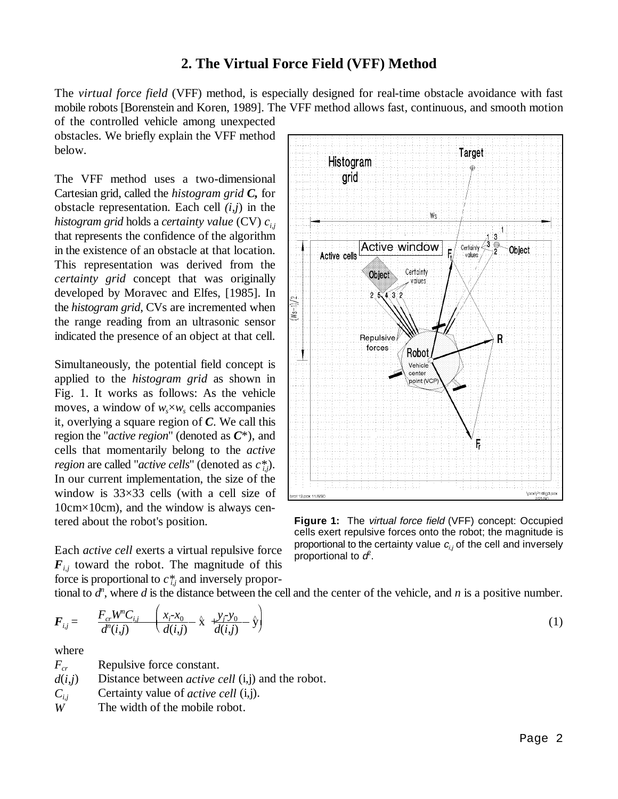# **2. The Virtual Force Field (VFF) Method**

The *virtual force field* (VFF) method, is especially designed for real-time obstacle avoidance with fast mobile robots [Borenstein and Koren, 1989]. The VFF method allows fast, continuous, and smooth motion

of the controlled vehicle among unexpected obstacles. We briefly explain the VFF method below.

The VFF method uses a two-dimensional Cartesian grid, called the *histogram grid C,* for obstacle representation. Each cell *(i,j*) in the *histogram grid* holds a *certainty value* (CV) *ci,j* that represents the confidence of the algorithm in the existence of an obstacle at that location. This representation was derived from the *certainty grid* concept that was originally developed by Moravec and Elfes, [1985]. In the *histogram grid*, CVs are incremented when the range reading from an ultrasonic sensor indicated the presence of an object at that cell.

Simultaneously, the potential field concept is applied to the *histogram grid* as shown in Fig. 1. It works as follows: As the vehicle moves, a window of  $w_{s} \times w_{s}$  cells accompanies it, overlying a square region of *C*. We call this region the "*active region*" (denoted as *C*\*), and cells that momentarily belong to the *active region* are called "*active cells*" (denoted as *c\**). *i,j* In our current implementation, the size of the window is 33×33 cells (with a cell size of 10cm×10cm), and the window is always centered about the robot's position.

Each *active cell* exerts a virtual repulsive force  $F_{i,j}$  toward the robot. The magnitude of this force is proportional to  $c^*_{i,j}$  and inversely propor-



**Figure 1:** The virtual force field (VFF) concept: Occupied cells exert repulsive forces onto the robot; the magnitude is proportional to the certainty value  $c_{i,j}$  of the cell and inversely proportional to  $d^2$ .

tional to  $d^n$ , where  $d$  is the distance between the cell and the center of the vehicle, and  $n$  is a positive number.

force is proportional to 
$$
c_{i,j}^{*}
$$
 and inversely propor-  
tional to  $d^{n}$ , where d is the distance between the cell and the center of the vehicle, and n is a positive number.  

$$
\mathbf{F}_{i,j} = \frac{F_{cr}W^{n}C_{i,j}}{d^{n}(i,j)} \left(\frac{x_{i} - x_{0}}{d(i,j)} - \hat{x} + \frac{y_{j} - y_{0}}{d(i,j)} - \hat{y}\right)
$$
(1)

where

*F<sub>cr</sub>* Repulsive force constant.  $d(i,j)$  Distance between *active cell* (i,j) and the robot.  $C_{i,j}$  Certainty value of *active cell* (i,j). *W* The width of the mobile robot.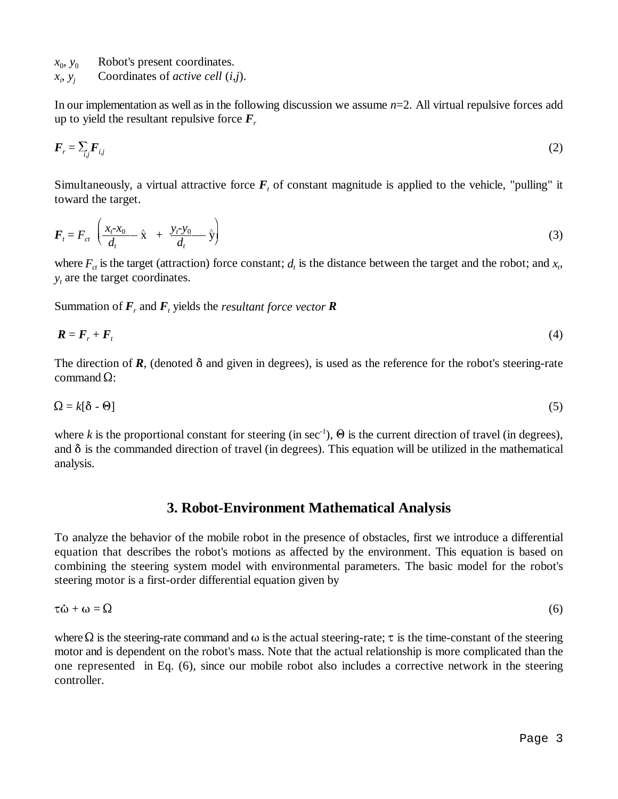- $x_0, y_0$  Robot's present coordinates.
- $x_i, y_j$  Coordinates of *active cell* (*i,j*).

In our implementation as well as in the following discussion we assume *n*=2. All virtual repulsive forces add up to yield the resultant repulsive force  $\bm{F}_r$ 

$$
F_r = \sum_{i,j} F_{i,j} \tag{2}
$$

Simultaneously, a virtual attractive force  $\vec{F}_t$  of constant magnitude is applied to the vehicle, "pulling" it<br>toward the target.<br> $\vec{F}_t = F_{ct} \left( \frac{x_t - x_0}{d} + \frac{y_t - y_0}{d} \hat{x} + \frac{y_t - y_0}{d} \hat{y} \right)$  (3) toward the target.

$$
\boldsymbol{F}_t = \boldsymbol{F}_{ct} \left( \frac{x_t - x_0}{d_t} - \hat{\mathbf{x}} + \frac{y_t - y_0}{d_t} - \hat{\mathbf{y}} \right) \tag{3}
$$

where  $F_{ct}$  is the target (attraction) force constant;  $d_t$  is the distance between the target and the robot; and  $x_t$ ,  $y_t$  are the target coordinates.

Summation of  $\mathbf{F}_r$ , and  $\mathbf{F}_t$  yields the *resultant force vector*  $\mathbf{R}$ 

$$
\boldsymbol{R} = \boldsymbol{F}_r + \boldsymbol{F}_t \tag{4}
$$

The direction of  $\mathbf{R}$ , (denoted  $\delta$  and given in degrees), is used as the reference for the robot's steering-rate command  $\Omega$ :

$$
\Omega = k[\delta - \Theta] \tag{5}
$$

where *k* is the proportional constant for steering (in sec<sup>-1</sup>),  $\Theta$  is the current direction of travel (in degrees), and  $\delta$  is the commanded direction of travel (in degrees). This equation will be utilized in the mathematical analysis.

# **3. Robot-Environment Mathematical Analysis**

To analyze the behavior of the mobile robot in the presence of obstacles, first we introduce a differential equation that describes the robot's motions as affected by the environment. This equation is based on combining the steering system model with environmental parameters. The basic model for the robot's steering motor is a first-order differential equation given by equation that describes the robot's motions as affected by the environment. This equation is based on<br>combining the steering system model with environmental parameters. The basic model for the robot's<br>steering motor is a

$$
\tau \dot{\omega} + \omega = \Omega \tag{6}
$$

where  $\Omega$  is the steering-rate command and  $\omega$  is the actual steering-rate;  $\tau$  is the time-constant of the steering motor and is dependent on the robot's mass. Note that the actual relationship is more complicated than the one represented in Eq. (6), since our mobile robot also includes a corrective network in the steering controller.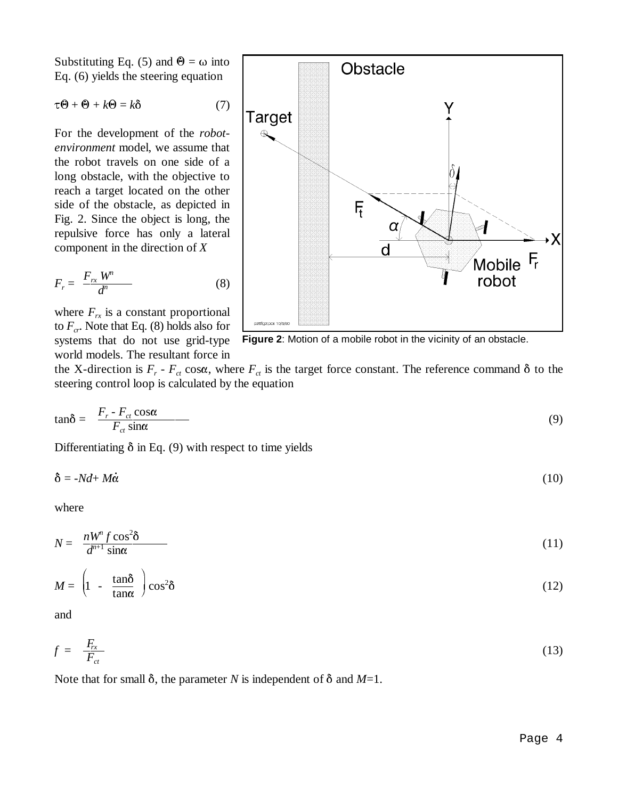Substituting Eq. (5) and  $\Theta = \omega$  into Eq. (6) yields the steering equation Substituting Eq. (5) and  $\Theta = \omega$  into<br>Eq. (6) yields the steering equation<br> $\tau \Theta + \Theta + k\Theta = k\delta$  (7)

$$
\tau \Theta + \Theta + k \Theta = k \delta
$$

For the development of the *robotenvironment* model, we assume that the robot travels on one side of a long obstacle, with the objective to reach a target located on the other side of the obstacle, as depicted in Fig. 2. Since the object is long, the repulsive force has only a lateral component in the direction of *X*

reੂ *Propulsive* force has only a lateral component in the direction of *X*  
\n
$$
F_r = \frac{F_{rx} W^n}{d^n}
$$
\n(8)

where  $F_{rx}$  is a constant proportional to  $F_{cr}$ . Note that Eq. (8) holds also for systems that do not use grid-type world models. The resultant force in



**Figure 2**: Motion of a mobile robot in the vicinity of an obstacle.

steering control loop is calculated by the equation

the X-direction is 
$$
F_r - F_{ct} \cos \alpha
$$
, where  $F_{ct}$  is the target force constant. The reference command  $\delta$  to the  
steering control loop is calculated by the equation  

$$
\tan \delta = \frac{F_r - F_{ct} \cos \alpha}{F_{ct} \sin \alpha}
$$
(9)  
Differentiating  $\delta$  in Eq. (9) with respect to time yields  

$$
\delta = -Nd + M\dot{\alpha}
$$
(10)

Differentiating  $\delta$  in Eq. (9) with respect to time yields

$$
\delta = -Nd + M\dot{\alpha} \tag{10}
$$

where

where  
\n
$$
N = \frac{nW^n f \cos^2 \delta}{d^{n+1} \sin \alpha}
$$
\n(11)

$$
N = \frac{nW J \cos \theta}{d^{n+1} \sin \alpha}
$$
\n
$$
M = \left(1 - \frac{\tan \delta}{\tan \alpha}\right) \cos^2 \delta
$$
\n
$$
(11)
$$
\n
$$
(12)
$$

and

and  

$$
f = \frac{F_{rx}}{F_{ct}}
$$
 (13)

Note that for small  $\delta$ , the parameter *N* is independent of  $\delta$  and *M*=1.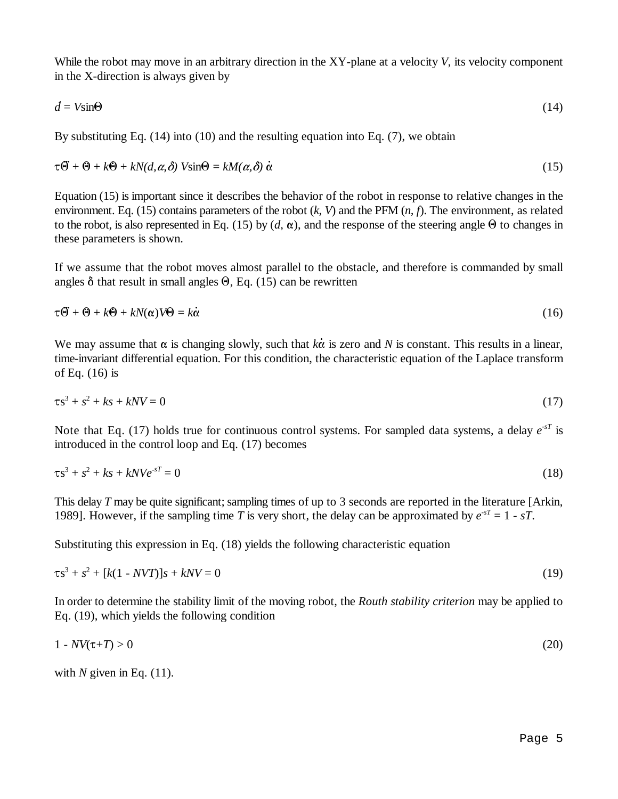While the robot may move in an arbitrary direction in the XY-plane at a velocity *V*, its velocity component in the X-direction is always given by While the robot may move in an arbitrary direction in the XY-plane at a velocity *V*, its velocity component in the X-direction is always given by  $d = V \sin \Theta$  (14)

$$
d = V\sin\Theta
$$
\n(14)  
\nBy substituting Eq. (14) into (10) and the resulting equation into Eq. (7), we obtain\n
$$
\tau\vec{\Theta} + \theta + k\theta + kN(d, \alpha, \delta) \text{ V}\sin\Theta = kM(\alpha, \delta) \dot{\alpha}
$$
\n(15)

By substituting Eq. (14) into (10) and the resulting equation into Eq. (7), we obtain

$$
\tau \vec{\Theta} + \Theta + k\Theta + kN(d, \alpha, \delta) \text{ Vsin}\Theta = kM(\alpha, \delta) \dot{\alpha} \tag{15}
$$

Equation (15) is important since it describes the behavior of the robot in response to relative changes in the environment. Eq. (15) contains parameters of the robot (*k*, *V*) and the PFM (*n, f*). The environment, as related to the robot, is also represented in Eq. (15) by  $(d, \alpha)$ , and the response of the steering angle  $\Theta$  to changes in these parameters is shown.

If we assume that the robot moves almost parallel to the obstacle, and therefore is commanded by small angles  $\delta$  that result in small angles  $\Theta$ , Eq. (15) can be rewritten these parameters is shown.<br>If we assume that the robot moves almost parallel to the obstacle, and therefore is commanded by small<br>angles  $\delta$  that result in small angles  $\Theta$ , Eq. (15) can be rewritten<br> $\tau \vec{\Theta} + \Theta + k\Theta + kN(\$ 

$$
\tau \vec{\Theta} + \Theta + k\Theta + kN(\alpha)V\Theta = k\dot{\alpha}
$$
\n(16)

We may assume that  $\alpha$  is changing slowly, such that  $k\dot{\alpha}$  is zero and *N* is constant. This results in a linear, time-invariant differential equation. For this condition, the characteristic equation of the Laplace transform of Eq. (16) is

$$
\tau s^3 + s^2 + ks + kNV = 0 \tag{17}
$$

Note that Eq. (17) holds true for continuous control systems. For sampled data systems, a delay  $e^{sT}$  is introduced in the control loop and Eq. (17) becomes

$$
\tau s^3 + s^2 + ks + kNVe^{-sT} = 0 \tag{18}
$$

This delay *T* may be quite significant; sampling times of up to 3 seconds are reported in the literature [Arkin, 1989]. However, if the sampling time *T* is very short, the delay can be approximated by  $e^{-sT} = 1 - sT$ .

Substituting this expression in Eq. (18) yields the following characteristic equation

$$
\tau s^3 + s^2 + [k(1 - NVT)]s + kNV = 0 \tag{19}
$$

In order to determine the stability limit of the moving robot, the *Routh stability criterion* may be applied to Eq. (19), which yields the following condition

$$
1 - NV(\tau + T) > 0 \tag{20}
$$

with  $N$  given in Eq.  $(11)$ .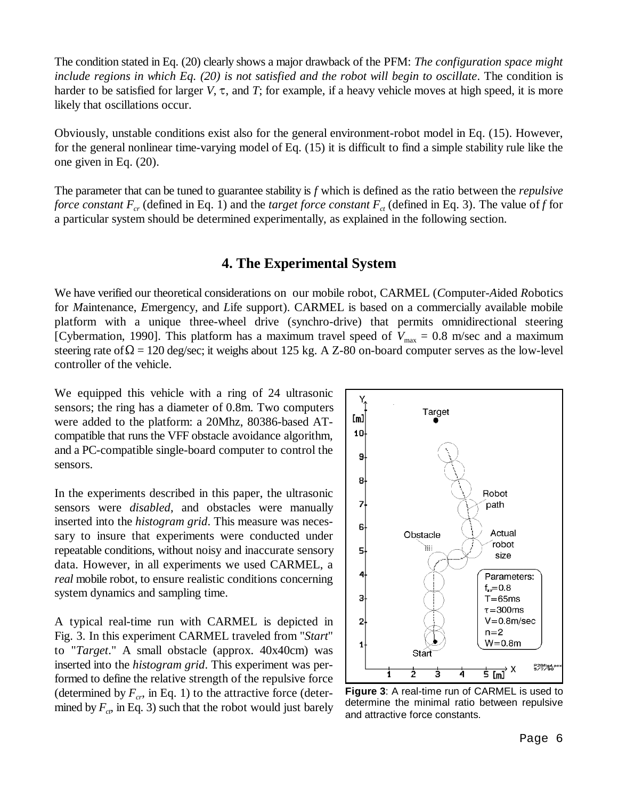The condition stated in Eq. (20) clearly shows a major drawback of the PFM: *The configuration space might include regions in which Eq. (20) is not satisfied and the robot will begin to oscillate*. The condition is harder to be satisfied for larger  $V$ ,  $\tau$ , and  $T$ ; for example, if a heavy vehicle moves at high speed, it is more likely that oscillations occur.

Obviously, unstable conditions exist also for the general environment-robot model in Eq. (15). However, for the general nonlinear time-varying model of Eq. (15) it is difficult to find a simple stability rule like the one given in Eq. (20).

The parameter that can be tuned to guarantee stability is *f* which is defined as the ratio between the *repulsive force constant*  $F_{cr}$  (defined in Eq. 1) and the *target force constant*  $F_{ct}$  (defined in Eq. 3). The value of *f* for a particular system should be determined experimentally, as explained in the following section.

# **4. The Experimental System**

We have verified our theoretical considerations on our mobile robot, CARMEL (*C*omputer-*A*ided *R*obotics for *M*aintenance, *E*mergency, and *L*ife support). CARMEL is based on a commercially available mobile platform with a unique three-wheel drive (synchro-drive) that permits omnidirectional steering [Cybermation, 1990]. This platform has a maximum travel speed of  $V_{\text{max}} = 0.8$  m/sec and a maximum steering rate of  $\Omega$  = 120 deg/sec; it weighs about 125 kg. A Z-80 on-board computer serves as the low-level controller of the vehicle.

We equipped this vehicle with a ring of 24 ultrasonic sensors; the ring has a diameter of 0.8m. Two computers were added to the platform: a 20Mhz, 80386-based ATcompatible that runs the VFF obstacle avoidance algorithm, and a PC-compatible single-board computer to control the sensors.

In the experiments described in this paper, the ultrasonic sensors were *disabled*, and obstacles were manually inserted into the *histogram grid*. This measure was necessary to insure that experiments were conducted under repeatable conditions, without noisy and inaccurate sensory data. However, in all experiments we used CARMEL, a *real* mobile robot, to ensure realistic conditions concerning system dynamics and sampling time.

A typical real-time run with CARMEL is depicted in Fig. 3. In this experiment CARMEL traveled from "*Start*" to "*Target*." A small obstacle (approx. 40x40cm) was inserted into the *histogram grid*. This experiment was performed to define the relative strength of the repulsive force (determined by  $F_{cr}$ , in Eq. 1) to the attractive force (determined by  $F_{cr}$  in Eq. 3) such that the robot would just barely



**Figure 3**: A real-time run of CARMEL is used to determine the minimal ratio between repulsive and attractive force constants.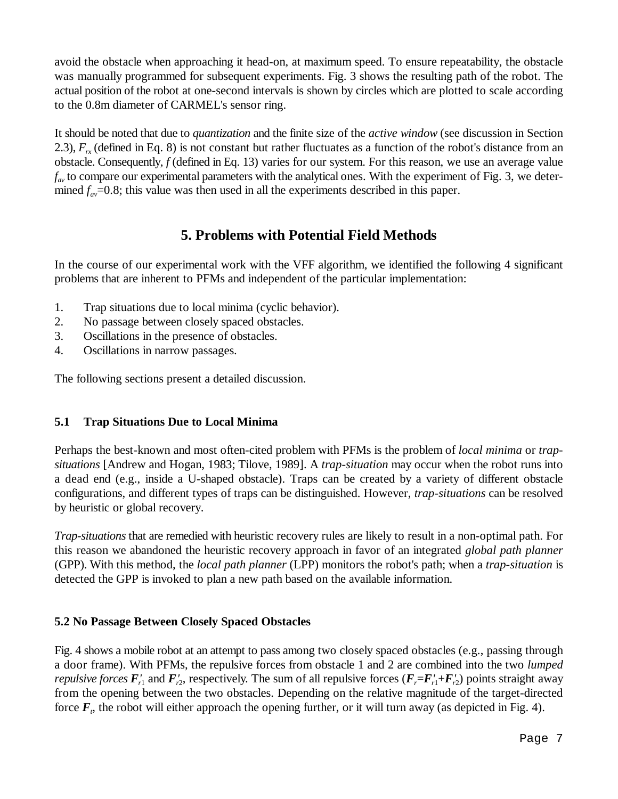avoid the obstacle when approaching it head-on, at maximum speed. To ensure repeatability, the obstacle was manually programmed for subsequent experiments. Fig. 3 shows the resulting path of the robot. The actual position of the robot at one-second intervals is shown by circles which are plotted to scale according to the 0.8m diameter of CARMEL's sensor ring.

It should be noted that due to *quantization* and the finite size of the *active window* (see discussion in Section 2.3),  $F_{rx}$  (defined in Eq. 8) is not constant but rather fluctuates as a function of the robot's distance from an obstacle. Consequently, *f* (defined in Eq. 13) varies for our system. For this reason, we use an average value  $f_{av}$  to compare our experimental parameters with the analytical ones. With the experiment of Fig. 3, we determined  $f_{av}$ =0.8; this value was then used in all the experiments described in this paper.

# **5. Problems with Potential Field Methods**

In the course of our experimental work with the VFF algorithm, we identified the following 4 significant problems that are inherent to PFMs and independent of the particular implementation:

- 1. Trap situations due to local minima (cyclic behavior).
- 2. No passage between closely spaced obstacles.
- 3. Oscillations in the presence of obstacles.
- 4. Oscillations in narrow passages.

The following sections present a detailed discussion.

## **5.1 Trap Situations Due to Local Minima**

Perhaps the best-known and most often-cited problem with PFMs is the problem of *local minima* or *trapsituations* [Andrew and Hogan, 1983; Tilove, 1989]. A *trap-situation* may occur when the robot runs into a dead end (e.g., inside a U-shaped obstacle). Traps can be created by a variety of different obstacle configurations, and different types of traps can be distinguished. However, *trap-situations* can be resolved by heuristic or global recovery.

*Trap-situations* that are remedied with heuristic recovery rules are likely to result in a non-optimal path. For this reason we abandoned the heuristic recovery approach in favor of an integrated *global path planner* (GPP). With this method, the *local path planner* (LPP) monitors the robot's path; when a *trap-situation* is detected the GPP is invoked to plan a new path based on the available information.

## **5.2 No Passage Between Closely Spaced Obstacles**

Fig. 4 shows a mobile robot at an attempt to pass among two closely spaced obstacles (e.g., passing through a door frame). With PFMs, the repulsive forces from obstacle 1 and 2 are combined into the two *lumped repulsive forces*  $F'_{r1}$  and  $F'_{r2}$ , respectively. The sum of all repulsive forces  $(F_r = F'_{r1} + F'_{r2})$  points straight away from the opening between the two obstacles. Depending on the relative magnitude of the target-directed force  $F<sub>r</sub>$ , the robot will either approach the opening further, or it will turn away (as depicted in Fig. 4).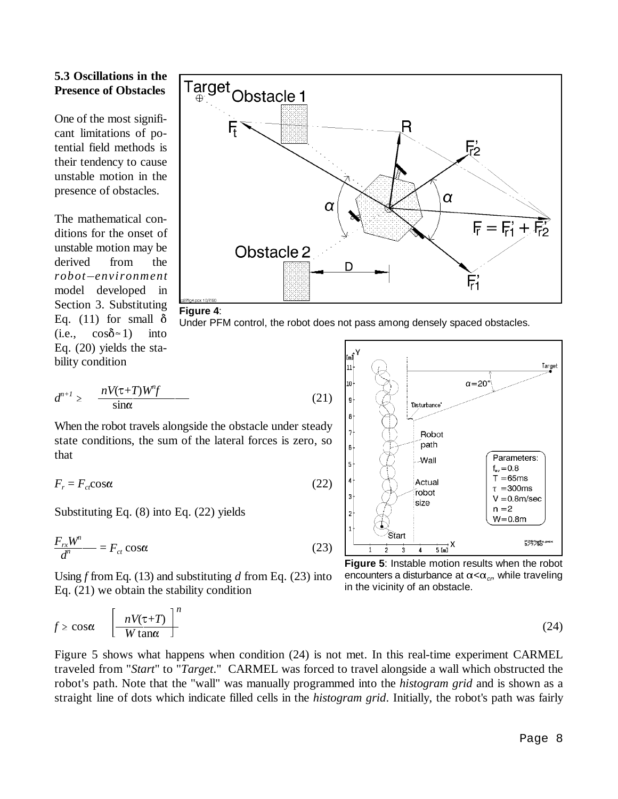## **5.3 Oscillations in the Presence of Obstacles**

One of the most significant limitations of potential field methods is their tendency to cause unstable motion in the presence of obstacles.

The mathematical conditions for the onset of<br>
unstable motion may be<br>
derived from the<br> *robot*-environment unstable motion may be derived from the model developed in Section 3. Substituting Eq. (11) for small  $\delta$  $(i.e., \cos \delta \approx 1)$  into Eq. (20) yields the stability condition



#### **Figure 4**:

Under PFM control, the robot does not pass among densely spaced obstacles.

Eq. (20) yields the sta-  
bility condition  

$$
d^{n+1} \ge \frac{nV(\tau+T)W^n f}{\sin \alpha}
$$
 (21)

When the robot travels alongside the obstacle under steady state conditions, the sum of the lateral forces is zero, so that

$$
F_r = F_{ct} \cos \alpha \tag{22}
$$

Substituting Eq. (8) into Eq. (22) yields  $\sim$   $\sim$   $\sim$ 

$$
\frac{F_{rx}W^n}{d^n} = F_{ct}\cos\alpha\tag{23}
$$

Using *f* from Eq. (13) and substituting *d* from Eq. (23) into Eq. (21) we obtain the stability condition



**Figure 5**: Instable motion results when the robot encounters a disturbance at  $\alpha < \alpha_{cr}$ , while traveling in the vicinity of an obstacle.

Using *f* from Eq. (15) and substituting *a* from Eq. (25) into  
Eq. (21) we obtain the stability condition in the vicinity of an obstacle.  

$$
f \ge \cos \alpha \qquad \left[ \frac{nV(\tau+T)}{W \tan \alpha} \right]^n
$$
(24)

Figure 5 shows what happens when condition (24) is not met. In this real-time experiment CARMEL traveled from "*Start*" to "*Target*." CARMEL was forced to travel alongside a wall which obstructed the robot's path. Note that the "wall" was manually programmed into the *histogram grid* and is shown as a straight line of dots which indicate filled cells in the *histogram grid*. Initially, the robot's path was fairly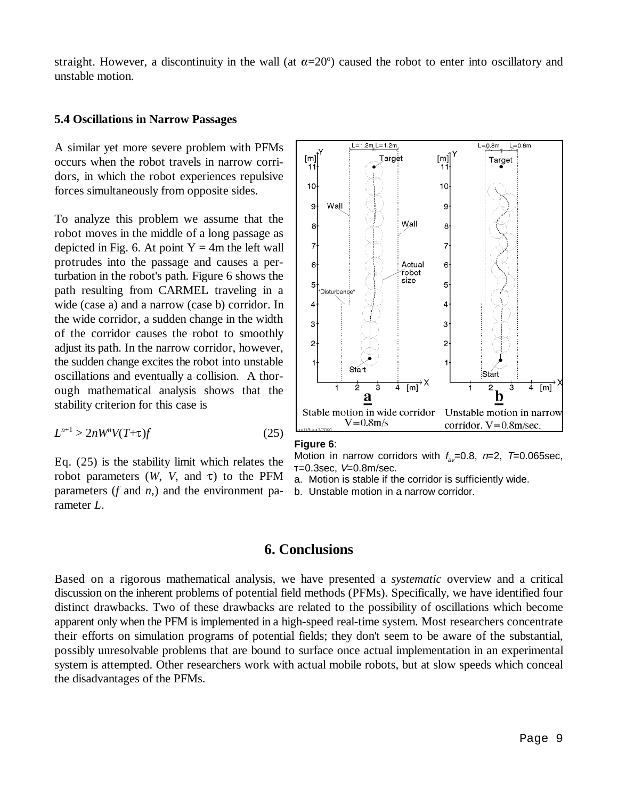straight. However, a discontinuity in the wall (at  $\alpha = 20^\circ$ ) caused the robot to enter into oscillatory and unstable motion.

#### **5.4 Oscillations in Narrow Passages**

A similar yet more severe problem with PFMs occurs when the robot travels in narrow corridors, in which the robot experiences repulsive forces simultaneously from opposite sides.

To analyze this problem we assume that the robot moves in the middle of a long passage as depicted in Fig. 6. At point  $Y = 4m$  the left wall protrudes into the passage and causes a perturbation in the robot's path. Figure 6 shows the path resulting from CARMEL traveling in a wide (case a) and a narrow (case b) corridor. In the wide corridor, a sudden change in the width of the corridor causes the robot to smoothly adjust its path. In the narrow corridor, however, the sudden change excites the robot into unstable oscillations and eventually a collision. A thorough mathematical analysis shows that the stability criterion for this case is

$$
L^{n+1} > 2nW^n V(T+\tau)f \tag{25}
$$

Eq. (25) is the stability limit which relates the robot parameters  $(W, V, \text{ and } \tau)$  to the PFM parameters (*f* and *n*,) and the environment parameter *L*.



#### **Figure 6**:

Motion in narrow corridors with  $f_{av}=0.8$ ,  $n=2$ ,  $T=0.065$ sec,  $T=0.3$ sec,  $V=0.8$ m/sec.

a. Motion is stable if the corridor is sufficiently wide.

b. Unstable motion in a narrow corridor.

## **6. Conclusions**

Based on a rigorous mathematical analysis, we have presented a *systematic* overview and a critical discussion on the inherent problems of potential field methods (PFMs). Specifically, we have identified four distinct drawbacks. Two of these drawbacks are related to the possibility of oscillations which become apparent only when the PFM is implemented in a high-speed real-time system. Most researchers concentrate their efforts on simulation programs of potential fields; they don't seem to be aware of the substantial, possibly unresolvable problems that are bound to surface once actual implementation in an experimental system is attempted. Other researchers work with actual mobile robots, but at slow speeds which conceal the disadvantages of the PFMs.